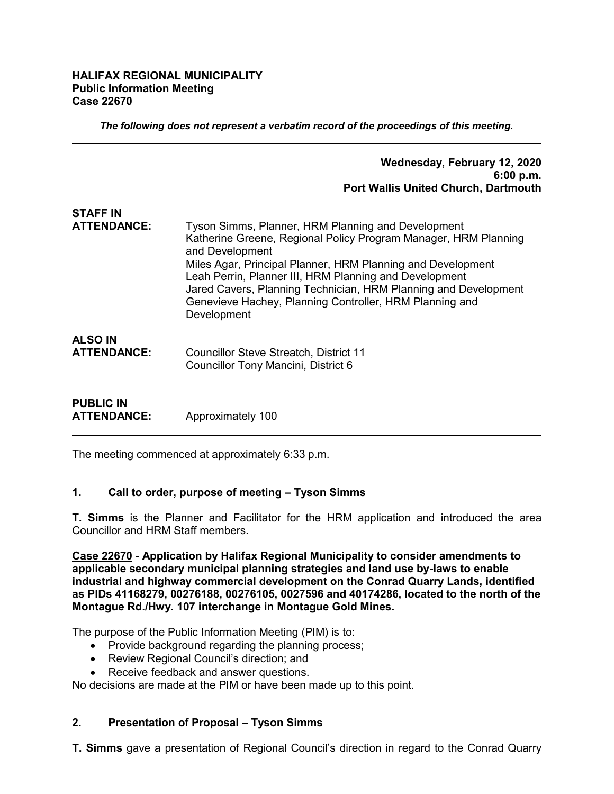#### **HALIFAX REGIONAL MUNICIPALITY Public Information Meeting Case 22670**

*The following does not represent a verbatim record of the proceedings of this meeting.*

#### **Wednesday, February 12, 2020 6:00 p.m. Port Wallis United Church, Dartmouth**

# **STAFF IN ATTENDANCE:** Tyson Simms, Planner, HRM Planning and Development Katherine Greene, Regional Policy Program Manager, HRM Planning and Development Miles Agar, Principal Planner, HRM Planning and Development Leah Perrin, Planner III, HRM Planning and Development Jared Cavers, Planning Technician, HRM Planning and Development Genevieve Hachey, Planning Controller, HRM Planning and Development **ALSO IN ATTENDANCE:** Councillor Steve Streatch, District 11 Councillor Tony Mancini, District 6

**PUBLIC IN ATTENDANCE:** Approximately 100

The meeting commenced at approximately 6:33 p.m.

## **1. Call to order, purpose of meeting – Tyson Simms**

**T. Simms** is the Planner and Facilitator for the HRM application and introduced the area Councillor and HRM Staff members.

**Case 22670 - Application by Halifax Regional Municipality to consider amendments to applicable secondary municipal planning strategies and land use by-laws to enable industrial and highway commercial development on the Conrad Quarry Lands, identified as PIDs 41168279, 00276188, 00276105, 0027596 and 40174286, located to the north of the Montague Rd./Hwy. 107 interchange in Montague Gold Mines.**

The purpose of the Public Information Meeting (PIM) is to:

- Provide background regarding the planning process;
- Review Regional Council's direction; and
- Receive feedback and answer questions.

No decisions are made at the PIM or have been made up to this point.

## **2. Presentation of Proposal – Tyson Simms**

**T. Simms** gave a presentation of Regional Council's direction in regard to the Conrad Quarry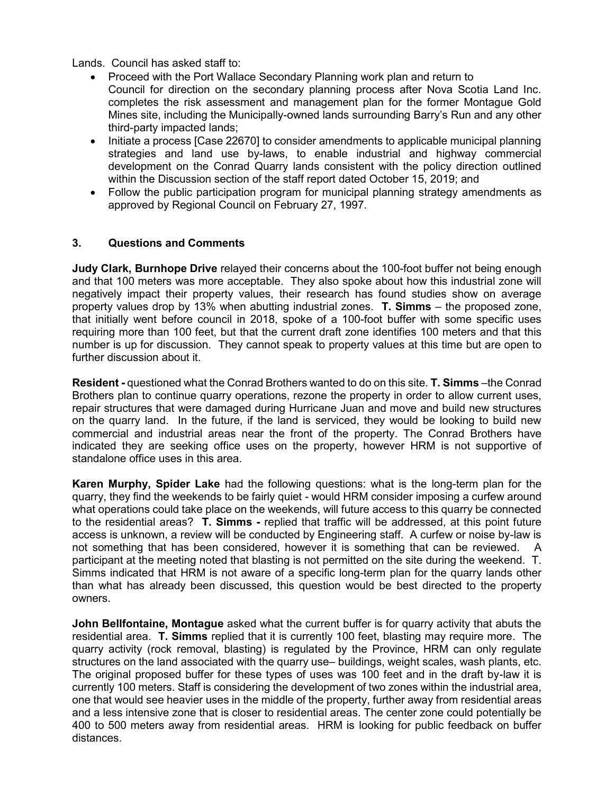Lands. Council has asked staff to:

- Proceed with the Port Wallace Secondary Planning work plan and return to Council for direction on the secondary planning process after Nova Scotia Land Inc. completes the risk assessment and management plan for the former Montague Gold Mines site, including the Municipally-owned lands surrounding Barry's Run and any other third-party impacted lands;
- Initiate a process [Case 22670] to consider amendments to applicable municipal planning strategies and land use by-laws, to enable industrial and highway commercial development on the Conrad Quarry lands consistent with the policy direction outlined within the Discussion section of the staff report dated October 15, 2019; and
- Follow the public participation program for municipal planning strategy amendments as approved by Regional Council on February 27, 1997.

## **3. Questions and Comments**

**Judy Clark, Burnhope Drive** relayed their concerns about the 100-foot buffer not being enough and that 100 meters was more acceptable. They also spoke about how this industrial zone will negatively impact their property values, their research has found studies show on average property values drop by 13% when abutting industrial zones. **T. Simms** – the proposed zone, that initially went before council in 2018, spoke of a 100-foot buffer with some specific uses requiring more than 100 feet, but that the current draft zone identifies 100 meters and that this number is up for discussion. They cannot speak to property values at this time but are open to further discussion about it.

**Resident -** questioned what the Conrad Brothers wanted to do on this site. **T. Simms** –the Conrad Brothers plan to continue quarry operations, rezone the property in order to allow current uses, repair structures that were damaged during Hurricane Juan and move and build new structures on the quarry land. In the future, if the land is serviced, they would be looking to build new commercial and industrial areas near the front of the property. The Conrad Brothers have indicated they are seeking office uses on the property, however HRM is not supportive of standalone office uses in this area.

**Karen Murphy, Spider Lake** had the following questions: what is the long-term plan for the quarry, they find the weekends to be fairly quiet - would HRM consider imposing a curfew around what operations could take place on the weekends, will future access to this quarry be connected to the residential areas? **T. Simms -** replied that traffic will be addressed, at this point future access is unknown, a review will be conducted by Engineering staff. A curfew or noise by-law is not something that has been considered, however it is something that can be reviewed. A participant at the meeting noted that blasting is not permitted on the site during the weekend. T. Simms indicated that HRM is not aware of a specific long-term plan for the quarry lands other than what has already been discussed, this question would be best directed to the property owners.

**John Bellfontaine, Montague** asked what the current buffer is for quarry activity that abuts the residential area. **T. Simms** replied that it is currently 100 feet, blasting may require more. The quarry activity (rock removal, blasting) is regulated by the Province, HRM can only regulate structures on the land associated with the quarry use– buildings, weight scales, wash plants, etc. The original proposed buffer for these types of uses was 100 feet and in the draft by-law it is currently 100 meters. Staff is considering the development of two zones within the industrial area, one that would see heavier uses in the middle of the property, further away from residential areas and a less intensive zone that is closer to residential areas. The center zone could potentially be 400 to 500 meters away from residential areas. HRM is looking for public feedback on buffer distances.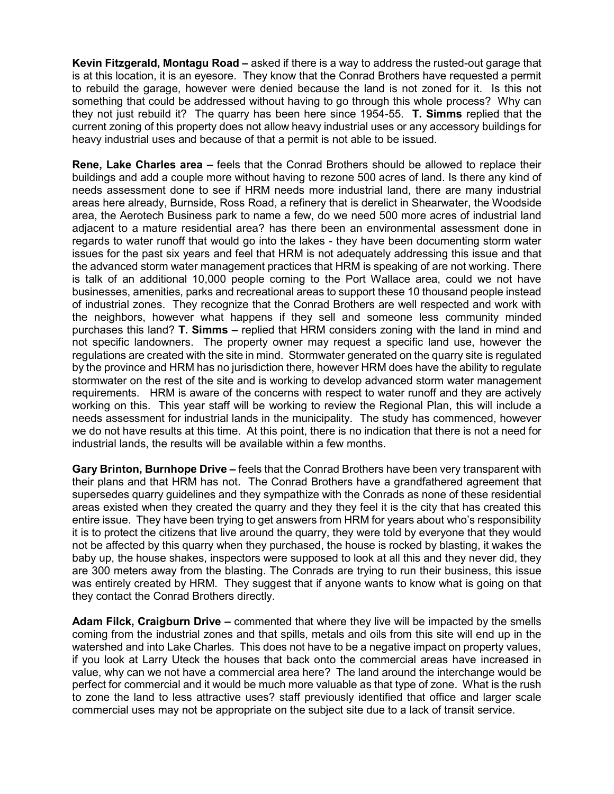**Kevin Fitzgerald, Montagu Road –** asked if there is a way to address the rusted-out garage that is at this location, it is an eyesore. They know that the Conrad Brothers have requested a permit to rebuild the garage, however were denied because the land is not zoned for it. Is this not something that could be addressed without having to go through this whole process? Why can they not just rebuild it? The quarry has been here since 1954-55. **T. Simms** replied that the current zoning of this property does not allow heavy industrial uses or any accessory buildings for heavy industrial uses and because of that a permit is not able to be issued.

**Rene, Lake Charles area –** feels that the Conrad Brothers should be allowed to replace their buildings and add a couple more without having to rezone 500 acres of land. Is there any kind of needs assessment done to see if HRM needs more industrial land, there are many industrial areas here already, Burnside, Ross Road, a refinery that is derelict in Shearwater, the Woodside area, the Aerotech Business park to name a few, do we need 500 more acres of industrial land adjacent to a mature residential area? has there been an environmental assessment done in regards to water runoff that would go into the lakes - they have been documenting storm water issues for the past six years and feel that HRM is not adequately addressing this issue and that the advanced storm water management practices that HRM is speaking of are not working. There is talk of an additional 10,000 people coming to the Port Wallace area, could we not have businesses, amenities, parks and recreational areas to support these 10 thousand people instead of industrial zones. They recognize that the Conrad Brothers are well respected and work with the neighbors, however what happens if they sell and someone less community minded purchases this land? **T. Simms –** replied that HRM considers zoning with the land in mind and not specific landowners. The property owner may request a specific land use, however the regulations are created with the site in mind. Stormwater generated on the quarry site is regulated by the province and HRM has no jurisdiction there, however HRM does have the ability to regulate stormwater on the rest of the site and is working to develop advanced storm water management requirements. HRM is aware of the concerns with respect to water runoff and they are actively working on this. This year staff will be working to review the Regional Plan, this will include a needs assessment for industrial lands in the municipality. The study has commenced, however we do not have results at this time. At this point, there is no indication that there is not a need for industrial lands, the results will be available within a few months.

**Gary Brinton, Burnhope Drive –** feels that the Conrad Brothers have been very transparent with their plans and that HRM has not. The Conrad Brothers have a grandfathered agreement that supersedes quarry guidelines and they sympathize with the Conrads as none of these residential areas existed when they created the quarry and they they feel it is the city that has created this entire issue. They have been trying to get answers from HRM for years about who's responsibility it is to protect the citizens that live around the quarry, they were told by everyone that they would not be affected by this quarry when they purchased, the house is rocked by blasting, it wakes the baby up, the house shakes, inspectors were supposed to look at all this and they never did, they are 300 meters away from the blasting. The Conrads are trying to run their business, this issue was entirely created by HRM. They suggest that if anyone wants to know what is going on that they contact the Conrad Brothers directly.

**Adam Filck, Craigburn Drive –** commented that where they live will be impacted by the smells coming from the industrial zones and that spills, metals and oils from this site will end up in the watershed and into Lake Charles. This does not have to be a negative impact on property values, if you look at Larry Uteck the houses that back onto the commercial areas have increased in value, why can we not have a commercial area here? The land around the interchange would be perfect for commercial and it would be much more valuable as that type of zone. What is the rush to zone the land to less attractive uses? staff previously identified that office and larger scale commercial uses may not be appropriate on the subject site due to a lack of transit service.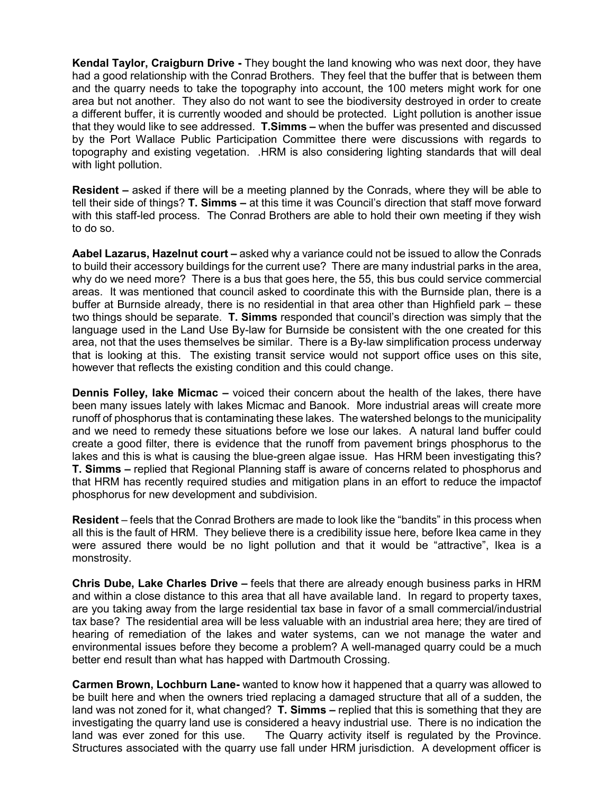**Kendal Taylor, Craigburn Drive -** They bought the land knowing who was next door, they have had a good relationship with the Conrad Brothers. They feel that the buffer that is between them and the quarry needs to take the topography into account, the 100 meters might work for one area but not another. They also do not want to see the biodiversity destroyed in order to create a different buffer, it is currently wooded and should be protected. Light pollution is another issue that they would like to see addressed. **T.Simms –** when the buffer was presented and discussed by the Port Wallace Public Participation Committee there were discussions with regards to topography and existing vegetation. .HRM is also considering lighting standards that will deal with light pollution.

**Resident –** asked if there will be a meeting planned by the Conrads, where they will be able to tell their side of things? **T. Simms –** at this time it was Council's direction that staff move forward with this staff-led process. The Conrad Brothers are able to hold their own meeting if they wish to do so.

**Aabel Lazarus, Hazelnut court –** asked why a variance could not be issued to allow the Conrads to build their accessory buildings for the current use? There are many industrial parks in the area, why do we need more? There is a bus that goes here, the 55, this bus could service commercial areas. It was mentioned that council asked to coordinate this with the Burnside plan, there is a buffer at Burnside already, there is no residential in that area other than Highfield park – these two things should be separate. **T. Simms** responded that council's direction was simply that the language used in the Land Use By-law for Burnside be consistent with the one created for this area, not that the uses themselves be similar. There is a By-law simplification process underway that is looking at this. The existing transit service would not support office uses on this site, however that reflects the existing condition and this could change.

**Dennis Folley, lake Micmac –** voiced their concern about the health of the lakes, there have been many issues lately with lakes Micmac and Banook. More industrial areas will create more runoff of phosphorus that is contaminating these lakes. The watershed belongs to the municipality and we need to remedy these situations before we lose our lakes. A natural land buffer could create a good filter, there is evidence that the runoff from pavement brings phosphorus to the lakes and this is what is causing the blue-green algae issue. Has HRM been investigating this? **T. Simms –** replied that Regional Planning staff is aware of concerns related to phosphorus and that HRM has recently required studies and mitigation plans in an effort to reduce the impactof phosphorus for new development and subdivision.

**Resident** – feels that the Conrad Brothers are made to look like the "bandits" in this process when all this is the fault of HRM. They believe there is a credibility issue here, before Ikea came in they were assured there would be no light pollution and that it would be "attractive", Ikea is a monstrosity.

**Chris Dube, Lake Charles Drive –** feels that there are already enough business parks in HRM and within a close distance to this area that all have available land. In regard to property taxes, are you taking away from the large residential tax base in favor of a small commercial/industrial tax base? The residential area will be less valuable with an industrial area here; they are tired of hearing of remediation of the lakes and water systems, can we not manage the water and environmental issues before they become a problem? A well-managed quarry could be a much better end result than what has happed with Dartmouth Crossing.

**Carmen Brown, Lochburn Lane-** wanted to know how it happened that a quarry was allowed to be built here and when the owners tried replacing a damaged structure that all of a sudden, the land was not zoned for it, what changed? **T. Simms –** replied that this is something that they are investigating the quarry land use is considered a heavy industrial use. There is no indication the land was ever zoned for this use. The Quarry activity itself is regulated by the Province. Structures associated with the quarry use fall under HRM jurisdiction. A development officer is